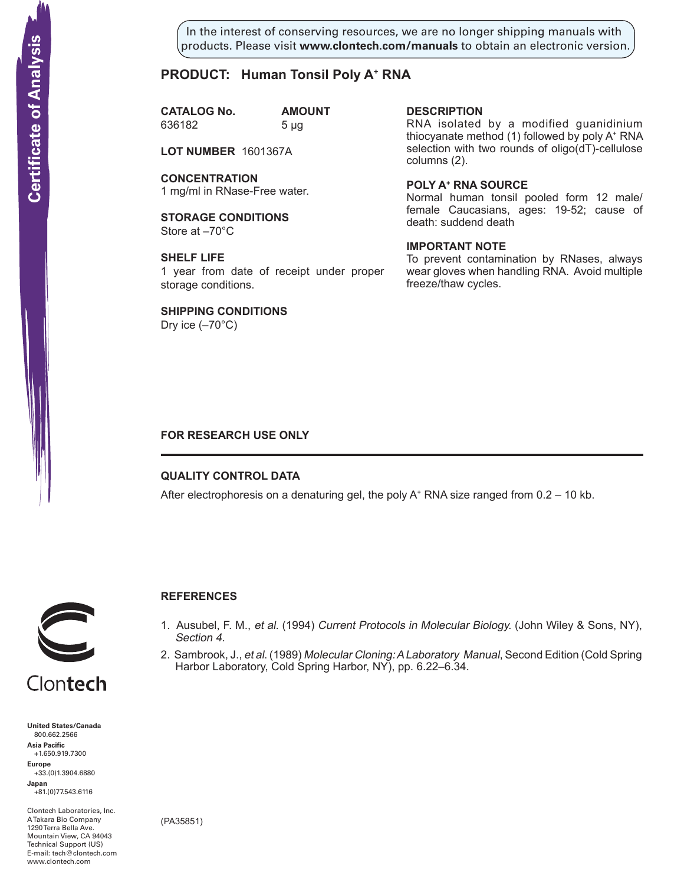In the interest of conserving resources, we are no longer shipping manuals with products. Please visit **www.clontech.com/manuals** to obtain an electronic version.

# **PRODUCT: Human Tonsil Poly A+ RNA**

**CATALOG No. AMOUNT** 636182 5 µg

**LOT NUMBER** 1601367A

**CONCENTRATION** 1 mg/ml in RNase-Free water.

**STORAGE CONDITIONS** Store at –70°C

**SHELF LIFE** 1 year from date of receipt under proper storage conditions.

**SHIPPING CONDITIONS**

Dry ice  $(-70^{\circ}C)$ 

### **description**

RNA isolated by a modified guanidinium thiocyanate method (1) followed by poly A+ RNA selection with two rounds of oligo(dT)-cellulose columns (2).

**Poly a+ RNA source**

Normal human tonsil pooled form 12 male/ female Caucasians, ages: 19-52; cause of death: suddend death

## **IMPORTANT NOTE**

To prevent contamination by RNases, always wear gloves when handling RNA. Avoid multiple freeze/thaw cycles.

## **FOR RESEARCH USE ONLY**

## **QUALITY CONTROL DATA**

After electrophoresis on a denaturing gel, the poly  $A^+$  RNA size ranged from 0.2 – 10 kb.



# **References**

- 1. Ausubel, F. M., et al. (1994) Current Protocols in Molecular Biology. (John Wiley & Sons, NY), Section 4.
- 2. Sambrook, J., et al. (1989) Molecular Cloning: A Laboratory Manual, Second Edition (Cold Spring Harbor Laboratory, Cold Spring Harbor, NY), pp. 6.22–6.34.

**United States/Canada** 800.662.2566 **Asia Pacific** +1.650.919.7300 **Europe** +33.(0)1.3904.6880 **Japan** +81.(0)77.543.6116 **Solution Control Control Control Control Control Control Control Control Control Control Control Control Control Control Control Control Control Control Control Control Control Control Control Control Control Control Cont** 

Clontech Laboratories, Inc. A Takara Bio Company 1290 Terra Bella Ave. Mountain View, CA 94043 Technical Support (US) E-mail: tech@clontech.com

(PA35851)